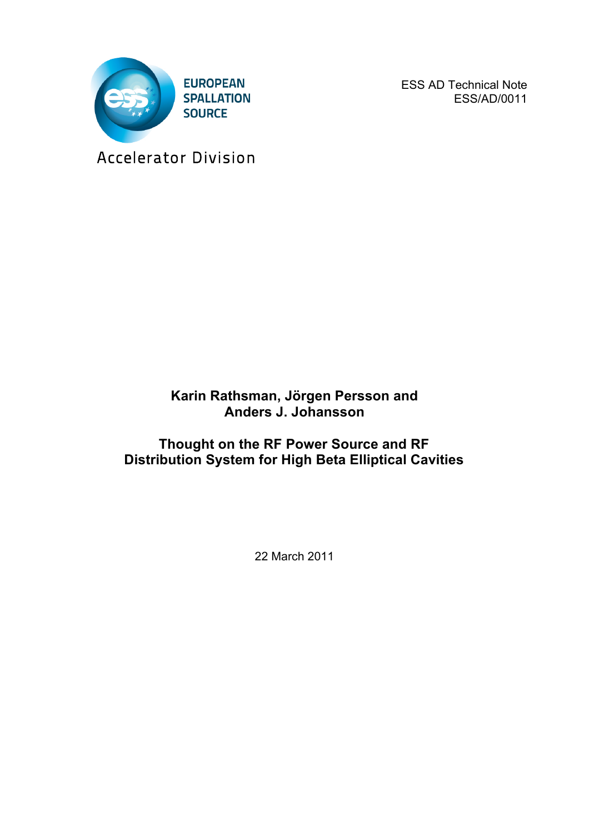

ESS AD Technical Note ESS/AD/0011

Accelerator Division

# **Karin Rathsman, Jörgen Persson and Anders J. Johansson**

# **Thought on the RF Power Source and RF Distribution System for High Beta Elliptical Cavities**

22 March 2011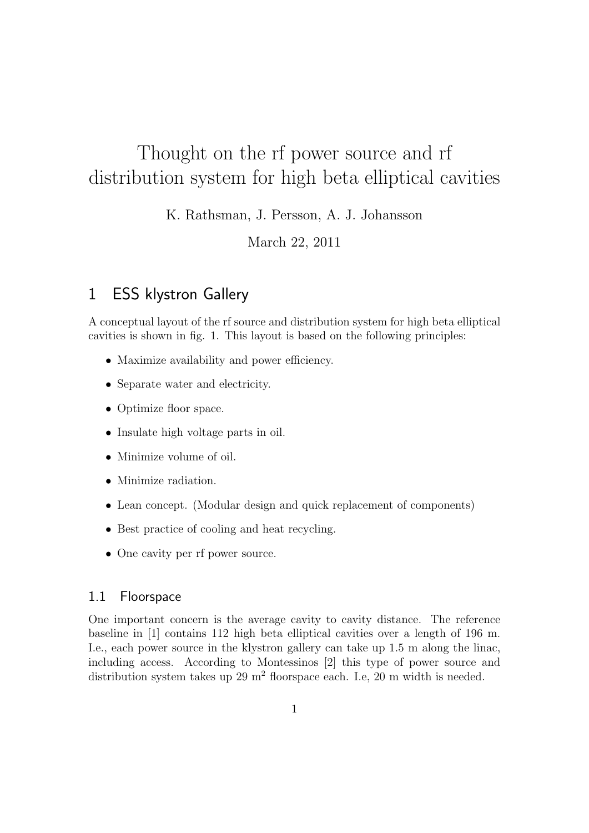# Thought on the rf power source and rf distribution system for high beta elliptical cavities

K. Rathsman, J. Persson, A. J. Johansson

March 22, 2011

# 1 ESS klystron Gallery

A conceptual layout of the rf source and distribution system for high beta elliptical cavities is shown in fig. 1. This layout is based on the following principles:

- Maximize availability and power efficiency.
- *•* Separate water and electricity.
- Optimize floor space.
- *•* Insulate high voltage parts in oil.
- *•* Minimize volume of oil.
- *•* Minimize radiation.
- *•* Lean concept. (Modular design and quick replacement of components)
- Best practice of cooling and heat recycling.
- One cavity per rf power source.

#### 1.1 Floorspace

One important concern is the average cavity to cavity distance. The reference baseline in [1] contains 112 high beta elliptical cavities over a length of 196 m. I.e., each power source in the klystron gallery can take up 1.5 m along the linac, including access. According to Montessinos [2] this type of power source and distribution system takes up  $29 \text{ m}^2$  floorspace each. I.e,  $20 \text{ m}$  width is needed.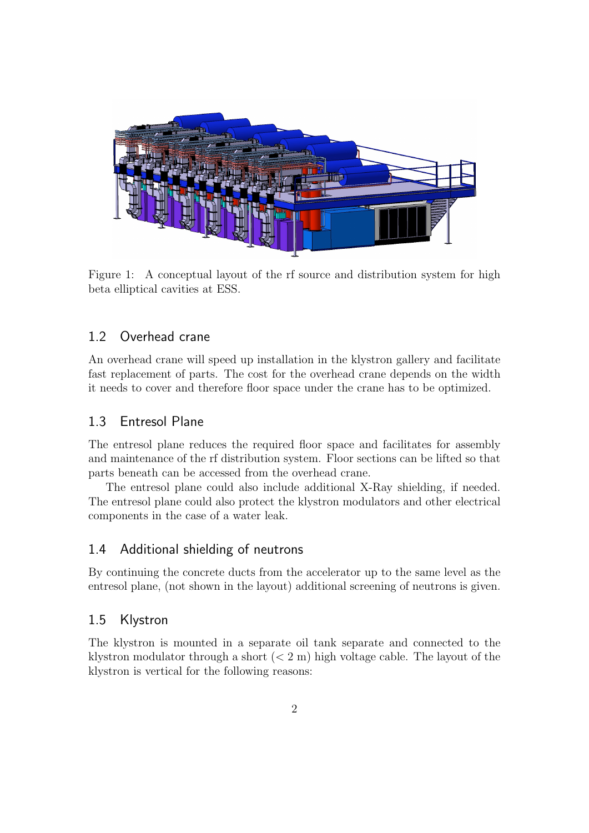

Figure 1: A conceptual layout of the rf source and distribution system for high beta elliptical cavities at ESS.

### 1.2 Overhead crane

An overhead crane will speed up installation in the klystron gallery and facilitate fast replacement of parts. The cost for the overhead crane depends on the width it needs to cover and therefore floor space under the crane has to be optimized.

#### 1.3 Entresol Plane

The entresol plane reduces the required floor space and facilitates for assembly and maintenance of the rf distribution system. Floor sections can be lifted so that parts beneath can be accessed from the overhead crane.

The entresol plane could also include additional X-Ray shielding, if needed. The entresol plane could also protect the klystron modulators and other electrical components in the case of a water leak.

#### 1.4 Additional shielding of neutrons

By continuing the concrete ducts from the accelerator up to the same level as the entresol plane, (not shown in the layout) additional screening of neutrons is given.

#### 1.5 Klystron

The klystron is mounted in a separate oil tank separate and connected to the klystron modulator through a short (*<* 2 m) high voltage cable. The layout of the klystron is vertical for the following reasons: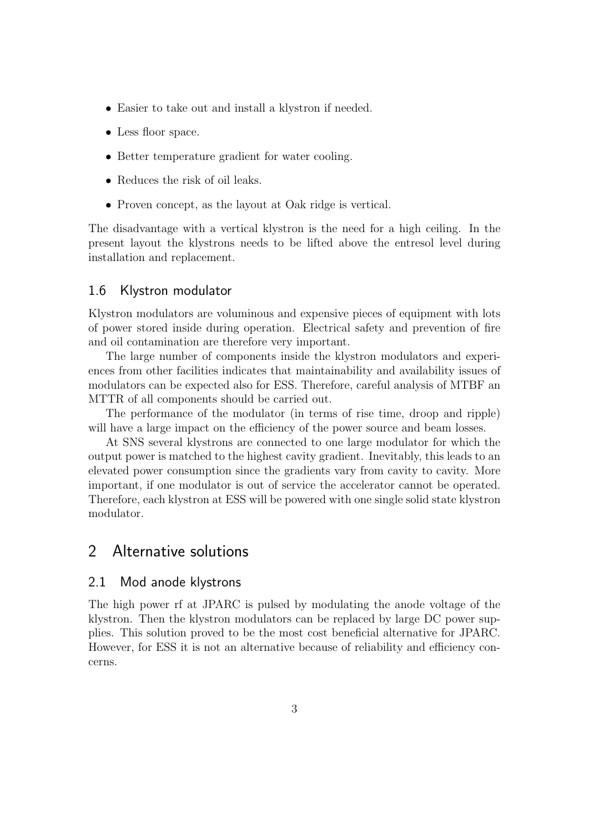- Easier to take out and install a klystron if needed.
- Less floor space.
- Better temperature gradient for water cooling.
- Reduces the risk of oil leaks.
- Proven concept, as the layout at Oak ridge is vertical.

The disadvantage with a vertical klystron is the need for a high ceiling. In the present layout the klystrons needs to be lifted above the entresol level during installation and replacement.

#### 1.6 Klystron modulator

Klystron modulators are voluminous and expensive pieces of equipment with lots of power stored inside during operation. Electrical safety and prevention of fire and oil contamination are therefore very important.

The large number of components inside the klystron modulators and experiences from other facilities indicates that maintainability and availability issues of modulators can be expected also for ESS. Therefore, careful analysis of MTBF an MTTR of all components should be carried out.

The performance of the modulator (in terms of rise time, droop and ripple) will have a large impact on the efficiency of the power source and beam losses.

At SNS several klystrons are connected to one large modulator for which the output power is matched to the highest cavity gradient. Inevitably, this leads to an elevated power consumption since the gradients vary from cavity to cavity. More important, if one modulator is out of service the accelerator cannot be operated. Therefore, each klystron at ESS will be powered with one single solid state klystron modulator.

## 2 Alternative solutions

#### 2.1 Mod anode klystrons

The high power rf at JPARC is pulsed by modulating the anode voltage of the klystron. Then the klystron modulators can be replaced by large DC power supplies. This solution proved to be the most cost beneficial alternative for JPARC. However, for ESS it is not an alternative because of reliability and efficiency concerns.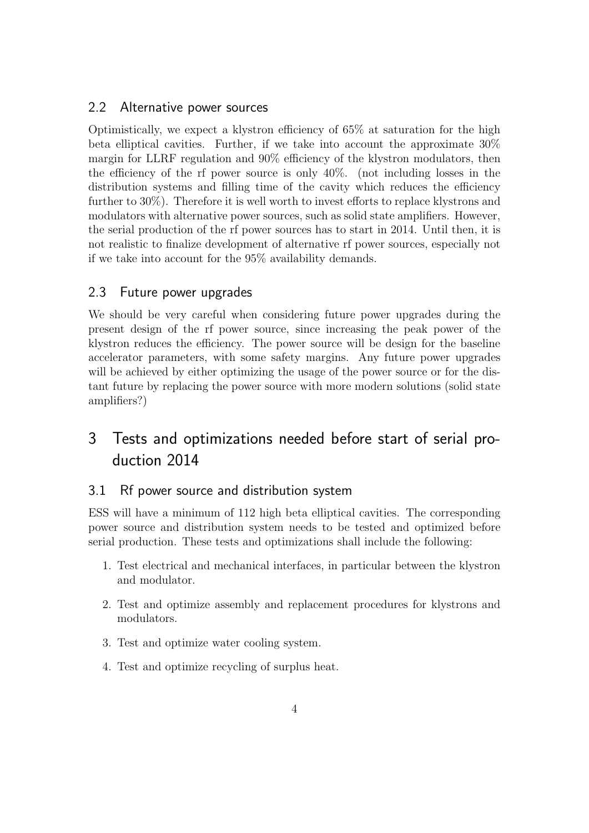### 2.2 Alternative power sources

Optimistically, we expect a klystron efficiency of 65% at saturation for the high beta elliptical cavities. Further, if we take into account the approximate 30% margin for LLRF regulation and 90% efficiency of the klystron modulators, then the efficiency of the rf power source is only 40%. (not including losses in the distribution systems and filling time of the cavity which reduces the efficiency further to 30%). Therefore it is well worth to invest efforts to replace klystrons and modulators with alternative power sources, such as solid state amplifiers. However, the serial production of the rf power sources has to start in 2014. Until then, it is not realistic to finalize development of alternative rf power sources, especially not if we take into account for the 95% availability demands.

### 2.3 Future power upgrades

We should be very careful when considering future power upgrades during the present design of the rf power source, since increasing the peak power of the klystron reduces the efficiency. The power source will be design for the baseline accelerator parameters, with some safety margins. Any future power upgrades will be achieved by either optimizing the usage of the power source or for the distant future by replacing the power source with more modern solutions (solid state amplifiers?)

# 3 Tests and optimizations needed before start of serial production 2014

### 3.1 Rf power source and distribution system

ESS will have a minimum of 112 high beta elliptical cavities. The corresponding power source and distribution system needs to be tested and optimized before serial production. These tests and optimizations shall include the following:

- 1. Test electrical and mechanical interfaces, in particular between the klystron and modulator.
- 2. Test and optimize assembly and replacement procedures for klystrons and modulators.
- 3. Test and optimize water cooling system.
- 4. Test and optimize recycling of surplus heat.